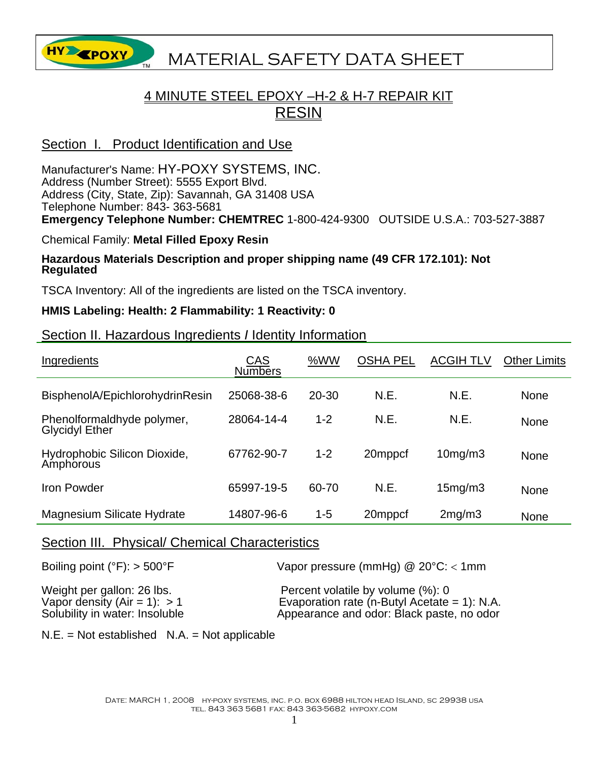

## **HY EPOXY** MATERIAL SAFETY DATA SHEET

## 4 MINUTE STEEL EPOXY –H-2 & H-7 REPAIR KIT RESIN

## Section I. Product Identification and Use

Manufacturer's Name: HY-POXY SYSTEMS, INC. Address (Number Street): 5555 Export Blvd. Address (City, State, Zip): Savannah, GA 31408 USA Telephone Number: 843- 363-5681 **Emergency Telephone Number: CHEMTREC** 1-800-424-9300 OUTSIDE U.S.A.: 703-527-3887

#### Chemical Family: **Metal Filled Epoxy Resin**

# **Hazardous Materials Description and proper shipping name (49 CFR 172.101): Not Regulated**

TSCA Inventory: All of the ingredients are listed on the TSCA inventory.

## **HMIS Labeling: Health: 2 Flammability: 1 Reactivity: 0**

## Section II. Hazardous Ingredients *I* Identity Information

| Ingredients                                         | CAS<br><b>Numbers</b> | %WW       | <b>OSHA PEL</b> | <b>ACGIH TLV</b> | <b>Other Limits</b> |
|-----------------------------------------------------|-----------------------|-----------|-----------------|------------------|---------------------|
| BisphenolA/EpichlorohydrinResin                     | 25068-38-6            | $20 - 30$ | N.E.            | N.E.             | <b>None</b>         |
| Phenolformaldhyde polymer,<br><b>Glycidyl Ether</b> | 28064-14-4            | $1 - 2$   | N.E             | N.E.             | <b>None</b>         |
| Hydrophobic Silicon Dioxide,<br>Amphorous           | 67762-90-7            | $1 - 2$   | 20mppcf         | $10$ mg/m $3$    | <b>None</b>         |
| Iron Powder                                         | 65997-19-5            | 60-70     | N.E.            | 15mg/m3          | <b>None</b>         |
| <b>Magnesium Silicate Hydrate</b>                   | 14807-96-6            | $1 - 5$   | 20mppcf         | 2mg/m3           | <b>None</b>         |

## Section III. Physical/ Chemical Characteristics

Boiling point (°F): > 500°F Vapor pressure (mmHg) @ 20°C: < 1mm

Weight per gallon: 26 lbs.<br>
Vapor density (Air = 1): > 1 Percent volatile by volume (%): 0 Vapor density  $(Air = 1): > 1$ <br>
Solubility in water: Insoluble  $\begin{array}{c} \text{Exaporation rate (n-Butyl Acetate = 1): N.A.} \\ \text{Appearance and odor: Black paste, no odor} \end{array}$ Appearance and odor: Black paste, no odor:

 $N.E. = Not established N.A. = Not applicable$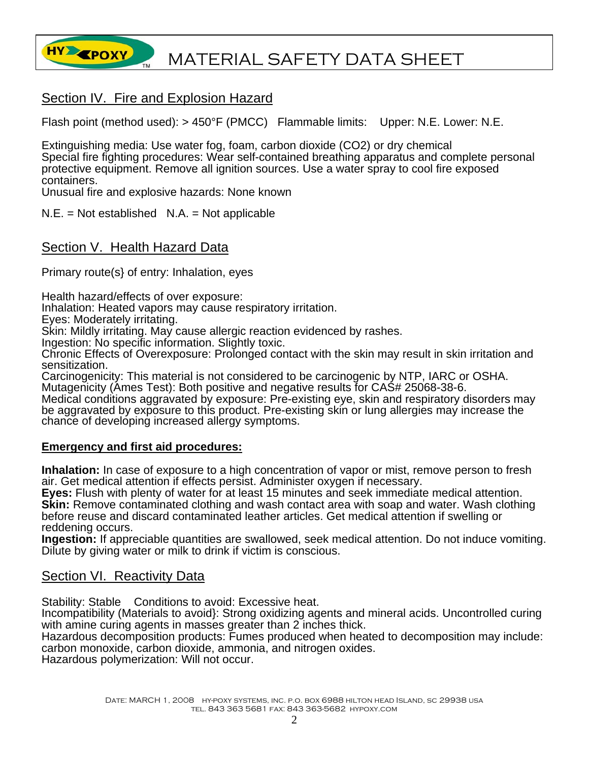

## Section IV. Fire and Explosion Hazard

Flash point (method used): > 450°F (PMCC) Flammable limits: Upper: N.E. Lower: N.E.

Extinguishing media: Use water fog, foam, carbon dioxide (CO2) or dry chemical Special fire fighting procedures: Wear self-contained breathing apparatus and complete personal protective equipment. Remove all ignition sources. Use a water spray to cool fire exposed containers.

Unusual fire and explosive hazards: None known

 $N.E. = Not established N.A. = Not applicable$ 

## Section V. Health Hazard Data

Primary route(s} of entry: Inhalation, eyes

Health hazard/effects of over exposure:

Inhalation: Heated vapors may cause respiratory irritation.

Eyes: Moderately irritating.

Skin: Mildly irritating. May cause allergic reaction evidenced by rashes.

Ingestion: No specific information. Slightly toxic.

Chronic Effects of Overexposure: Prolonged contact with the skin may result in skin irritation and sensitization.

Carcinogenicity: This material is not considered to be carcinogenic by NTP, IARC or OSHA. Mutagenicity (Ames Test): Both positive and negative results for CAS# 25068-38-6.

Medical conditions aggravated by exposure: Pre-existing eye, skin and respiratory disorders may be aggravated by exposure to this product. Pre-existing skin or lung allergies may increase the chance of developing increased allergy symptoms.

#### **Emergency and first aid procedures:**

**Inhalation:** In case of exposure to a high concentration of vapor or mist, remove person to fresh air. Get medical attention if effects persist. Administer oxygen if necessary.

**Eyes:** Flush with plenty of water for at least 15 minutes and seek immediate medical attention. **Skin:** Remove contaminated clothing and wash contact area with soap and water. Wash clothing before reuse and discard contaminated leather articles. Get medical attention if swelling or reddening occurs.

**Ingestion:** If appreciable quantities are swallowed, seek medical attention. Do not induce vomiting. Dilute by giving water or milk to drink if victim is conscious.

## Section VI. Reactivity Data

Stability: Stable Conditions to avoid: Excessive heat.

Incompatibility (Materials to avoid}: Strong oxidizing agents and mineral acids. Uncontrolled curing with amine curing agents in masses greater than 2 inches thick.

Hazardous decomposition products: Fumes produced when heated to decomposition may include: carbon monoxide, carbon dioxide, ammonia, and nitrogen oxides.

Hazardous polymerization: Will not occur.